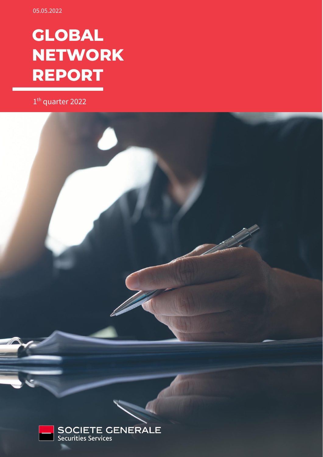# **GLOBAL NETWORK REPORT**

1<sup>th</sup> quarter 2022

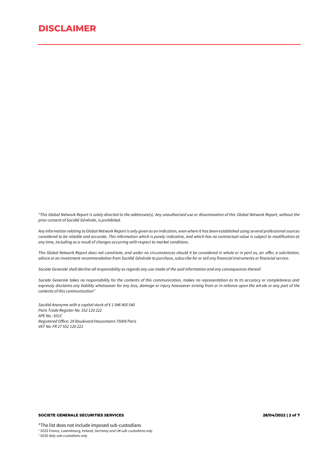*"This Global Network Report is solely directed to the addressee(s). Any unauthorised use or dissemination of this Global Network Report, without the prior consent of Société Générale, is prohibited.*

*Any information relating to Global Network Report is only given as an indication, even where it has been established using several professional sources considered to be reliable and accurate. This information which is purely indicative, and which has no contractual value is subject to modification at any time, including as a result of changes occurring with respect to market conditions.*

*This Global Network Report does not constitute, and under no circumstances should it be considered in whole or in part as, an offer, a solicitation, advice or an investment recommendation from Société Générale to purchase, subscribe for or sell any financial instruments or financial service.* 

*Societe Generale shall decline all responsibility as regards any use made of the said information and any consequences thereof.*

*Societe Generale takes no responsibility for the contents of this communication, makes no representation as to its accuracy or completeness and expressly disclaims any liability whatsoever for any loss, damage or injury howsoever arising from or in reliance upon the whole or any part of the contents of this communication"* 

*Société Anonyme with a capital stock of € 1 046 405 540 Paris Trade Register No. 552 120 222 APE No.: 651C Registered Office: 29 Boulevard Haussmann 75009 Paris VAT No: FR 27 552 120 222*

#### **SOCIETE GENERALE SECURITIES SERVICES 28/04/2022 | 2 of 7**

\*The list does not include imposed sub-custodians *<sup>1</sup> SGSS France, Luxembourg, Ireland, Germany and UK sub-custodians only*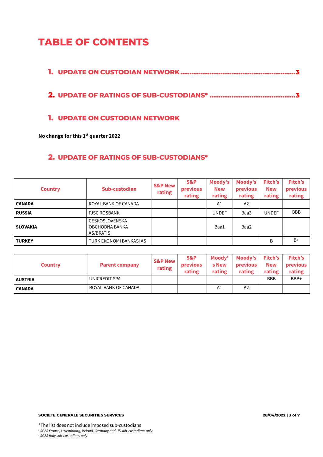# **TABLE OF CONTENTS**

**2. UPDATE OF RATINGS OF SUB-CUSTODIANS\* [...............................................](#page-2-1)3**

# <span id="page-2-0"></span>**1. UPDATE ON CUSTODIAN NETWORK**

**No change for this 1st quarter 2022**

# <span id="page-2-1"></span>**2. UPDATE OF RATINGS OF SUB-CUSTODIANS\***

| <b>Country</b>  | Sub-custodian                                        | <b>S&amp;P New</b><br>rating | S&P<br>previous<br>rating | Moody's<br><b>New</b><br>rating | Moody's<br>previous<br>rating | Fitch's<br><b>New</b><br>rating | Fitch's<br>previous<br>rating |
|-----------------|------------------------------------------------------|------------------------------|---------------------------|---------------------------------|-------------------------------|---------------------------------|-------------------------------|
| <b>CANADA</b>   | ROYAL BANK OF CANADA                                 |                              |                           | A1                              | A <sub>2</sub>                |                                 |                               |
| <b>RUSSIA</b>   | <b>PJSC ROSBANK</b>                                  |                              |                           | <b>UNDEF</b>                    | Baa3                          | <b>UNDEF</b>                    | <b>BBB</b>                    |
| <b>SLOVAKIA</b> | <b>CESKOSLOVENSKA</b><br>OBCHODNA BANKA<br>AS/BRATIS |                              |                           | Baa1                            | Baa2                          |                                 |                               |
| <b>TURKEY</b>   | TURK EKONOMI BANKASI AS                              |                              |                           |                                 |                               | B                               | $B+$                          |

| <b>Country</b> | <b>Parent company</b> | <b>S&amp;P New</b><br>rating | S&P<br><b>previous</b><br>rating | Moodv'<br>s New<br>rating | Moody's Fitch's<br>previous<br>rating | <b>New</b><br>rating | <b>Fitch's</b><br>previous<br>rating |
|----------------|-----------------------|------------------------------|----------------------------------|---------------------------|---------------------------------------|----------------------|--------------------------------------|
| <b>AUSTRIA</b> | UNICREDIT SPA         |                              |                                  |                           |                                       | <b>BBB</b>           | BBB+                                 |
| <b>CANADA</b>  | ROYAL BANK OF CANADA  |                              |                                  | A1                        | A2                                    |                      |                                      |

\*The list does not include imposed sub-custodians *<sup>1</sup> SGSS France, Luxembourg, Ireland, Germany and UK sub-custodians only*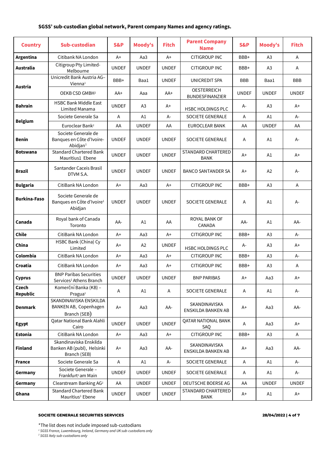## **SGSS' sub-custodian global network, Parent company Names and agency ratings.**

| <b>Country</b>                  | Sub-custodian                                                           | <b>S&amp;P</b> | <b>Moody's</b> | <b>Fitch</b> | <b>Parent Company</b><br><b>Name</b>         | <b>S&amp;P</b> | Moody's        | <b>Fitch</b> |
|---------------------------------|-------------------------------------------------------------------------|----------------|----------------|--------------|----------------------------------------------|----------------|----------------|--------------|
| Argentina                       | Citibank NA London                                                      | $A+$           | Aa3            | $A+$         | <b>CITIGROUP INC</b>                         | BBB+           | A3             | Α            |
| Australia                       | Citigroup Pty Limited-<br>Melbourne                                     | <b>UNDEF</b>   | <b>UNDEF</b>   | <b>UNDEF</b> | CITIGROUP INC                                | BBB+           | A <sub>3</sub> | Α            |
| Austria                         | Unicredit Bank Austria AG-<br>Vienna <sup>1</sup>                       | BBB+           | Baa1           | <b>UNDEF</b> | UNICREDIT SPA                                | <b>BBB</b>     | Baa1           | BBB          |
|                                 | OEKB CSD GMBH <sup>2</sup>                                              | $AA+$          | Aaa            | AA+          | <b>OESTERREICH</b><br><b>BUNDESFINANZIER</b> | <b>UNDEF</b>   | <b>UNDEF</b>   | <b>UNDEF</b> |
| <b>Bahrain</b>                  | <b>HSBC Bank Middle East</b><br>Limited Manama                          | <b>UNDEF</b>   | A <sub>3</sub> | A+           | HSBC HOLDINGS PLC                            | А-             | A <sub>3</sub> | $A+$         |
|                                 | Societe Generale Sa                                                     | A              | A1             | $A -$        | <b>SOCIETE GENERALE</b>                      | Α              | A1             | A-           |
| <b>Belgium</b>                  | Euroclear Bank <sup>2</sup>                                             | AA             | <b>UNDEF</b>   | AA           | EUROCLEAR BANK                               | AA             | <b>UNDEF</b>   | AA           |
| Benin                           | Societe Generale de<br>Banques en Côte d'Ivoire-<br>Abidjan $1$         | <b>UNDEF</b>   | <b>UNDEF</b>   | <b>UNDEF</b> | <b>SOCIETE GENERALE</b>                      | Α              | A1             | А-           |
| <b>Botswana</b>                 | <b>Standard Chartered Bank</b><br>Mauritius1 Ebene                      | <b>UNDEF</b>   | <b>UNDEF</b>   | <b>UNDEF</b> | STANDARD CHARTERED<br><b>BANK</b>            | $A+$           | A1             | $A+$         |
| <b>Brazil</b>                   | Santander Caceis Brasil<br>DTVM S.A.                                    | <b>UNDEF</b>   | <b>UNDEF</b>   | <b>UNDEF</b> | <b>BANCO SANTANDER SA</b>                    | $A+$           | A <sub>2</sub> | А-           |
| <b>Bulgaria</b>                 | CitiBank NA London                                                      | $A+$           | Aa3            | $A+$         | <b>CITIGROUP INC</b>                         | BBB+           | A3             | A            |
| <b>Burkina-Faso</b>             | Societe Generale de<br>Banques en Côte d'Ivoire <sup>1</sup><br>Abidjan | <b>UNDEF</b>   | <b>UNDEF</b>   | <b>UNDEF</b> | <b>SOCIETE GENERALE</b>                      | Α              | A1             | А-           |
| Canada                          | Royal bank of Canada<br>Toronto                                         | AA-            | A1             | AA           | ROYAL BANK OF<br>CANADA                      | AA-            | A1             | AA-          |
| Chile                           | CitiBank NA London                                                      | $A+$           | Aa3            | $A+$         | CITIGROUP INC                                | BBB+           | A <sub>3</sub> | A-           |
| China                           | HSBC Bank (China) Cy<br>Limited                                         | A+             | A2             | <b>UNDEF</b> | HSBC HOLDINGS PLC                            | A-             | A3             | $A+$         |
| Colombia                        | CitiBank NA London                                                      | $A+$           | Aa3            | $A+$         | <b>CITIGROUP INC</b>                         | BBB+           | A <sub>3</sub> | А-           |
| Croatia                         | CitiBank NA London                                                      | A+             | Aa3            | A+           | CITIGROUP INC                                | BBB+           | A <sub>3</sub> | Α            |
| <b>Cyprus</b>                   | <b>BNP Paribas Securities</b><br>Services <sup>1</sup> Athens Branch    | <b>UNDEF</b>   | <b>UNDEF</b>   | <b>UNDEF</b> | <b>BNP PARIBAS</b>                           | A+             | Aa3            | A+           |
| <b>Czech</b><br><b>Republic</b> | Komerční Banka (KB) -<br>Pragua <sup>1</sup>                            | A              | A1             | Α            | SOCIETE GENERALE                             | Α              | A1             | А-           |
| <b>Denmark</b>                  | SKANDINAVISKA ENSKILDA<br>BANKEN AB, Copenhagen<br>Branch (SEB)         | $A+$           | Aa3            | AA-          | SKANDINAVISKA<br>ENSKILDA BANKEN AB          | A+             | Aa3            | AA-          |
| <b>Egypt</b>                    | Qatar National Bank Alahli<br>Cairo                                     | <b>UNDEF</b>   | <b>UNDEF</b>   | <b>UNDEF</b> | <b>QATAR NATIONAL BANK</b><br>SAQ            | A              | Aa3            | $A+$         |
| Estonia                         | CitiBank NA London                                                      | $A+$           | Aa3            | $A+$         | <b>CITIGROUP INC</b>                         | BBB+           | A <sub>3</sub> | A            |
| <b>Finland</b>                  | Skandinaviska Enskilda<br>Banken AB (publ), Helsinki<br>Branch (SEB)    | $A+$           | Aa3            | AA-          | SKANDINAVISKA<br>ENSKILDA BANKEN AB          | A+             | Aa3            | AA-          |
| <b>France</b>                   | Societe Generale Sa                                                     | Α              | A1             | А-           | SOCIETE GENERALE                             | A              | A1             | A-           |
| Germany                         | Societe Generale -<br>Frankfurt <sup>1</sup> am Main                    | <b>UNDEF</b>   | <b>UNDEF</b>   | <b>UNDEF</b> | SOCIETE GENERALE                             | Α              | A1             | A-           |
| Germany                         | Clearstream Banking AG <sup>2</sup>                                     | AA             | <b>UNDEF</b>   | <b>UNDEF</b> | DEUTSCHE BOERSE AG                           | AA             | <b>UNDEF</b>   | <b>UNDEF</b> |
| Ghana                           | <b>Standard Chartered Bank</b><br>Mauritius <sup>1</sup> Ebene          | <b>UNDEF</b>   | <b>UNDEF</b>   | <b>UNDEF</b> | STANDARD CHARTERED<br>BANK                   | A+             | A1             | A+           |

#### **SOCIETE GENERALE SECURITIES SERVICES 28/04/2022 | 4 of 7**

*<sup>1</sup> SGSS France, Luxembourg, Ireland, Germany and UK sub-custodians only*

<sup>\*</sup>The list does not include imposed sub-custodians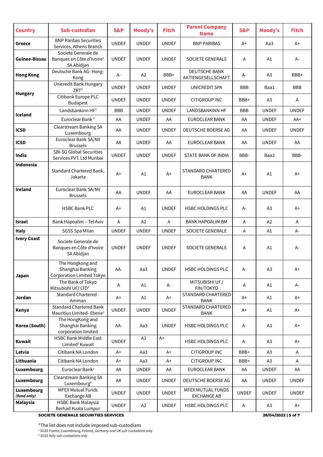| <b>Country</b>            | Sub-custodian                                                              | <b>S&amp;P</b> | <b>Moody's</b> | <b>Fitch</b> | <b>Parent Company</b><br><b>Name</b>           | <b>S&amp;P</b> | Moody's             | <b>Fitch</b> |
|---------------------------|----------------------------------------------------------------------------|----------------|----------------|--------------|------------------------------------------------|----------------|---------------------|--------------|
| Greece                    | <b>BNP Paribas Securities</b><br>Services, Athens Branch                   | <b>UNDEF</b>   | <b>UNDEF</b>   | <b>UNDEF</b> | <b>BNP PARIBAS</b>                             | A+             | Aa3                 | $A+$         |
| Guinee-Bissau             | Societe Generale de<br>Banques en Côte d'Ivoire <sup>1</sup><br>SA Abidjan | <b>UNDEF</b>   | <b>UNDEF</b>   | <b>UNDEF</b> | <b>SOCIETE GENERALE</b>                        | Α              | A1                  | А-           |
| <b>Hong Kong</b>          | Deutsche Bank AG-Hong-<br>Kong                                             | А-             | A <sub>2</sub> | BBB+         | <b>DEUTSCHE BANK</b><br>AKTIENGESELLSCHAFT     | А-             | A <sub>3</sub>      | BBB+         |
|                           | Unicredit Bank Hungary<br>ZRT <sup>2</sup>                                 | <b>UNDEF</b>   | <b>UNDEF</b>   | <b>UNDEF</b> | UNICREDIT SPA                                  | <b>BBB</b>     | Baa1                | <b>BBB</b>   |
| <b>Hungary</b>            | Citibank Europe PLC<br><b>Budapest</b>                                     | <b>UNDEF</b>   | <b>UNDEF</b>   | <b>UNDEF</b> | CITIGROUP INC                                  | BBB+           | A <sub>3</sub>      | Α            |
|                           | Landsbankinn HF <sup>1</sup>                                               | <b>BBB</b>     | <b>UNDEF</b>   | <b>UNDEF</b> | LANDSBANKINN HF                                | BBB            | <b>UNDEF</b>        | <b>UNDEF</b> |
| Iceland                   | Euroclear Bank <sup>2</sup>                                                | AA             | <b>UNDEF</b>   | AA           | EUROCLEAR BANK                                 | AA             | <b>UNDEF</b>        | AA+          |
| <b>ICSD</b>               | <b>Clearstream Banking SA</b><br>Luxembourg                                | AA             | <b>UNDEF</b>   | <b>UNDEF</b> | DEUTSCHE BOERSE AG                             | AA             | <b>UNDEF</b>        | <b>UNDEF</b> |
| <b>ICSD</b>               | Euroclear Bank SA/NV<br><b>Brussels</b>                                    | AA             | <b>UNDEF</b>   | AA           | EUROCLEAR BANK                                 | AA             | <b>UNDEF</b>        | AA           |
| India                     | <b>SBI-SG Global Securities</b><br>Services PVT. Ltd Munbai                | <b>UNDEF</b>   | <b>UNDEF</b>   | <b>UNDEF</b> | STATE BANK OF INDIA                            | BBB-           | Baa3                | BBB-         |
| Indonesia                 | Standard Chartered Bank,<br>Jakarta                                        | $A+$           | A1             | $A+$         | <b>STANDARD CHARTERED</b><br><b>BANK</b>       | $A+$           | A1                  | $A+$         |
| <b>Ireland</b>            | Euroclear Bank SA/NV<br><b>Brussels</b>                                    | AA             | <b>UNDEF</b>   | AA           | <b>EUROCLEAR BANK</b>                          | AA             | <b>UNDEF</b>        | AA           |
|                           | <b>HSBC Bank PLC</b>                                                       | A+             | A1             | <b>UNDEF</b> | HSBC HOLDINGS PLC                              | А-             | A <sub>3</sub>      | $A+$         |
| Israel                    | Bank Hapoalim - Tel Aviv                                                   | Α              | A <sub>2</sub> | A            | <b>BANK HAPOALIM BM</b>                        | Α              | A2                  | Α            |
| <b>Italy</b>              | SGSS Spa Milan                                                             | <b>UNDEF</b>   | <b>UNDEF</b>   | <b>UNDEF</b> | SOCIETE GENERALE                               | Α              | A1                  | А-           |
| <b>Ivory Coast</b>        | Societe Generale de<br>Banques en Côte d'Ivoire<br>SA Abidjan              | <b>UNDEF</b>   | <b>UNDEF</b>   | <b>UNDEF</b> | SOCIETE GENERALE                               | Α              | A1                  | A-           |
| Japan                     | The Hongkong and<br>Shanghai Banking<br>Corporation Limited Tokyo          | AA-            | Aa3            | <b>UNDEF</b> | <b>HSBC HOLDINGS PLC</b>                       | A-             | A <sub>3</sub>      | $A+$         |
|                           | The Bank of Tokyo<br>Mitsubishi UFJ LTD <sup>2</sup>                       | Α              | A1             | A-           | MITSUBISHI UFJ<br>FIN/TOKYO                    | Α              | A1                  | A-           |
| Jordan                    | Standard Chartered -<br>Amman                                              | A+             | A1             | $A+$         | <b>STANDARD CHARTERED</b><br><b>BANK</b>       | $A+$           | A1                  | $A+$         |
| Kenya                     | <b>Standard Chartered Bank</b><br>Mauritius Limited-Ebene <sup>1</sup>     | <b>UNDEF</b>   | <b>UNDEF</b>   | <b>UNDEF</b> | STANDARD CHARTERED<br><b>BANK</b>              | A+             | A1                  | $A+$         |
| Korea (South)             | The HongKong and<br>Shanghai Banking<br>corporation limited                | AA-            | Aa3            | <b>UNDEF</b> | HSBC HOLDINGS PLC                              | А-             | A <sub>3</sub>      | $A+$         |
| Kuwait                    | <b>HSBC Bank Middle East</b><br>Limited <sup>1</sup> Kuwait                | <b>UNDEF</b>   | A <sub>3</sub> | $A+$         | HSBC HOLDINGS PLC                              | А-             | A <sub>3</sub>      | $A+$         |
| Latvia                    | Citibank NA London                                                         | $A+$           | Aa3            | A+           | CITIGROUP INC                                  | BBB+           | A3                  | A            |
| Lithuania                 | Citibank NA London                                                         | A+             | Aa3            | A+           | CITIGROUP INC                                  | BBB+           | A3                  | Α            |
| Luxembourg                | Euroclear Bank <sup>1</sup>                                                | AA             | <b>UNDEF</b>   | AA           | EUROCLEAR BANK                                 | AA             | <b>UNDEF</b>        | AA           |
| Luxembourg                | Clearstream Banking SA<br>Luxembourg <sup>2</sup>                          | AA             | <b>UNDEF</b>   | <b>UNDEF</b> | DEUTSCHE BOERSE AG                             | AA             | <b>UNDEF</b>        | <b>UNDEF</b> |
| Luxembourg<br>(fund only) | <b>MFEX Mutual Funds</b><br>Exchange AB                                    | <b>UNDEF</b>   | <b>UNDEF</b>   | <b>UNDEF</b> | <b>MFEX MUTUAL FUNDS</b><br><b>EXCHANGE AB</b> | <b>UNDEF</b>   | <b>UNDEF</b>        | <b>UNDEF</b> |
| Malaysia                  | <b>HSBC Bank Malaysia</b>                                                  | <b>UNDEF</b>   | A <sub>2</sub> | <b>UNDEF</b> | HSBC HOLDINGS PLC                              | A-             | A <sub>3</sub>      | $A+$         |
|                           | Berhad Kuala Lumpur<br>SOCIETE GENERALE SECURITIES SERVICES                |                |                |              |                                                |                | 28/04/2022   5 of 7 |              |

\*The list does not include imposed sub-custodians

*<sup>1</sup> SGSS France, Luxembourg, Ireland, Germany and UK sub-custodians only*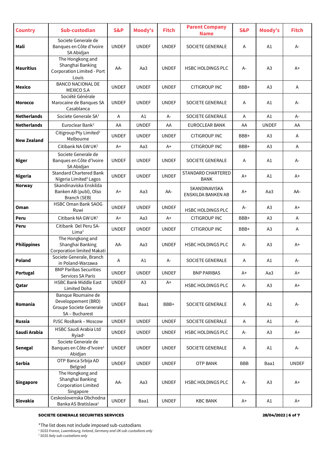| <b>Country</b>     | Sub-custodian                                                                          | S&P          | <b>Moody's</b> | <b>Fitch</b> | <b>Parent Company</b><br><b>Name</b> | S&P        | Moody's        | <b>Fitch</b> |
|--------------------|----------------------------------------------------------------------------------------|--------------|----------------|--------------|--------------------------------------|------------|----------------|--------------|
| Mali               | Societe Generale de<br>Banques en Côte d'Ivoire<br>SA Abidjan                          | <b>UNDEF</b> | <b>UNDEF</b>   | <b>UNDEF</b> | <b>SOCIETE GENERALE</b>              | Α          | A1             | A-           |
| <b>Mauritius</b>   | The Hongkong and<br>Shanghai Banking<br>Corporation Limited - Port<br>Louis            | AA-          | Aa3            | <b>UNDEF</b> | <b>HSBC HOLDINGS PLC</b>             | А-         | A3             | $A+$         |
| <b>Mexico</b>      | <b>BANCO NACIONAL DE</b><br><b>MEXICO S.A</b>                                          | <b>UNDEF</b> | <b>UNDEF</b>   | <b>UNDEF</b> | CITIGROUP INC                        | BBB+       | A3             | Α            |
| Morocco            | Société Générale<br>Marocaine de Banques SA<br>Casablanca                              | <b>UNDEF</b> | <b>UNDEF</b>   | <b>UNDEF</b> | <b>SOCIETE GENERALE</b>              | Α          | A1             | A-           |
| <b>Netherlands</b> | Societe Generale SA <sup>1</sup>                                                       | A            | A1             | A-           | <b>SOCIETE GENERALE</b>              | A          | A1             | $A -$        |
| <b>Netherlands</b> | Euroclear Bank <sup>2</sup>                                                            | AA           | <b>UNDEF</b>   | AA           | EUROCLEAR BANK                       | AA         | <b>UNDEF</b>   | AA           |
| New Zealand        | Citigroup Pty Limited <sup>1</sup><br>Melbourne                                        | <b>UNDEF</b> | <b>UNDEF</b>   | <b>UNDEF</b> | <b>CITIGROUP INC</b>                 | BBB+       | A <sub>3</sub> | Α            |
|                    | Citibank NA GW UK <sup>2</sup>                                                         | $A+$         | Aa3            | $A+$         | <b>CITIGROUP INC</b>                 | BBB+       | A3             | Α            |
| <b>Niger</b>       | Societe Generale de<br>Banques en Côte d'Ivoire<br>SA Abidjan                          | <b>UNDEF</b> | <b>UNDEF</b>   | <b>UNDEF</b> | <b>SOCIETE GENERALE</b>              | A          | A1             | A-           |
| <b>Nigeria</b>     | Standard Chartered Bank<br>Nigeria Limited <sup>1</sup> Lagos                          | <b>UNDEF</b> | <b>UNDEF</b>   | <b>UNDEF</b> | STANDARD CHARTERED<br><b>BANK</b>    | A+         | A1             | $A+$         |
| <b>Norway</b>      | Skandinaviska Enskilda<br>Banken AB (publ), Olso<br>Branch (SEB)                       | A+           | Aa3            | AA-          | SKANDINAVISKA<br>ENSKILDA BANKEN AB  | A+         | Aa3            | AA-          |
| Oman               | <b>HSBC Oman Bank SAOG</b><br>Ruwi                                                     | <b>UNDEF</b> | <b>UNDEF</b>   | <b>UNDEF</b> | HSBC HOLDINGS PLC                    | А-         | A3             | $A+$         |
| Peru               | Citibank NA GW UK <sup>2</sup>                                                         | $A+$         | Aa3            | $A+$         | CITIGROUP INC                        | BBB+       | A3             | Α            |
| Peru               | Citibank Del Peru SA-<br>Lima <sup>1</sup>                                             | <b>UNDEF</b> | <b>UNDEF</b>   | <b>UNDEF</b> | CITIGROUP INC                        | BBB+       | A3             | Α            |
| <b>Philippines</b> | The Hongkong and<br>Shanghai Banking<br>Corporation limited Makati                     | AA-          | Aa3            | <b>UNDEF</b> | <b>HSBC HOLDINGS PLC</b>             | А-         | A3             | A+           |
| Poland             | Societe Generale, Branch<br>in Poland-Warzawa                                          | Α            | A1             | А-           | <b>SOCIETE GENERALE</b>              | Α          | A1             | А-           |
| Portugal           | <b>BNP Paribas Securities</b><br>Services SA Paris                                     | <b>UNDEF</b> | <b>UNDEF</b>   | <b>UNDEF</b> | <b>BNP PARIBAS</b>                   | A+         | Aa3            | $A+$         |
| Qatar              | <b>HSBC Bank Middle East</b><br>Limited Doha                                           | <b>UNDEF</b> | A3             | $A+$         | <b>HSBC HOLDINGS PLC</b>             | A-         | A3             | $A+$         |
| Romania            | Banque Roumaine de<br>Developpement (BRD)<br>Groupe Societe Generale<br>SA - Bucharest | <b>UNDEF</b> | Baa1           | BBB+         | <b>SOCIETE GENERALE</b>              | Α          | A1             | A-           |
| <b>Russia</b>      | PJSC RosBank - Moscow                                                                  | <b>UNDEF</b> | <b>UNDEF</b>   | <b>UNDEF</b> | SOCIETE GENERALE                     | Α          | A1             | $A-$         |
| Saudi Arabia       | HSBC Saudi Arabia Ltd<br>Ryiad <sup>1</sup>                                            | <b>UNDEF</b> | <b>UNDEF</b>   | <b>UNDEF</b> | <b>HSBC HOLDINGS PLC</b>             | A-         | A <sub>3</sub> | A+           |
| <b>Senegal</b>     | Societe Generale de<br>Banques en Côte-d'Ivoire <sup>1</sup><br>Abidjan                | <b>UNDEF</b> | <b>UNDEF</b>   | <b>UNDEF</b> | SOCIETE GENERALE                     | A          | A1             | A-           |
| <b>Serbia</b>      | OTP Banca Srbija AD<br>Belgrad                                                         | <b>UNDEF</b> | <b>UNDEF</b>   | <b>UNDEF</b> | <b>OTP BANK</b>                      | <b>BBB</b> | Baa1           | <b>UNDEF</b> |
| <b>Singapore</b>   | The Hongkong and<br>Shanghai Banking<br><b>Corporation Limited</b><br>Singapore        | AA-          | Aa3            | <b>UNDEF</b> | HSBC HOLDINGS PLC                    | A-         | A <sub>3</sub> | $A+$         |
| <b>Slovakia</b>    | Ceskoslovenska Obchodna<br>Banka AS Bratislava <sup>1</sup>                            | <b>UNDEF</b> | Baa1           | <b>UNDEF</b> | <b>KBC BANK</b>                      | A+         | A1             | A+           |

### **SOCIETE GENERALE SECURITIES SERVICES 28/04/2022 | 6 of 7**

\*The list does not include imposed sub-custodians

*<sup>1</sup> SGSS France, Luxembourg, Ireland, Germany and UK sub-custodians only*